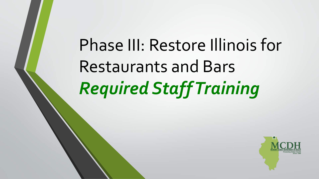# Phase III: Restore Illinois for Restaurants and Bars *Required Staff Training*

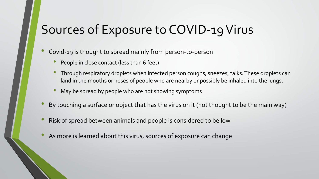# Sources of Exposure to COVID-19 Virus

- Covid-19 is thought to spread mainly from person-to-person
	- People in close contact (less than 6 feet)
	- Through respiratory droplets when infected person coughs, sneezes, talks. These droplets can land in the mouths or noses of people who are nearby or possibly be inhaled into the lungs.
	- May be spread by people who are not showing symptoms
- By touching a surface or object that has the virus on it (not thought to be the main way)
- Risk of spread between animals and people is considered to be low
- As more is learned about this virus, sources of exposure can change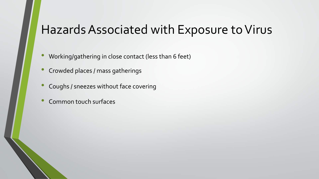### Hazards Associated with Exposure to Virus

- Working/gathering in close contact (less than 6 feet)
- Crowded places / mass gatherings
- Coughs / sneezes without face covering
- Common touch surfaces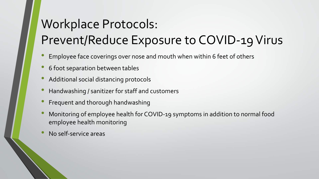# Workplace Protocols: Prevent/Reduce Exposure to COVID-19 Virus

- Employee face coverings over nose and mouth when within 6 feet of others
- 6 foot separation between tables
- Additional social distancing protocols
- Handwashing / sanitizer for staff and customers
- Frequent and thorough handwashing
- Monitoring of employee health for COVID-19 symptoms in addition to normal food employee health monitoring
- No self-service areas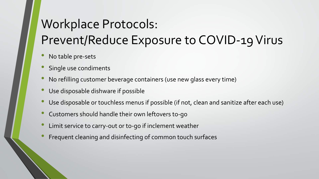# Workplace Protocols: Prevent/Reduce Exposure to COVID-19 Virus

- No table pre-sets
- Single use condiments
- No refilling customer beverage containers (use new glass every time)
- Use disposable dishware if possible
- Use disposable or touchless menus if possible (if not, clean and sanitize after each use)
- Customers should handle their own leftovers to-go
- Limit service to carry-out or to-go if inclement weather
- Frequent cleaning and disinfecting of common touch surfaces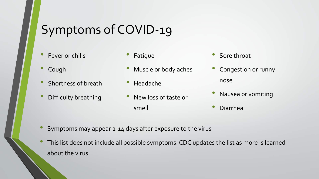# Symptoms of COVID-19

- Fever or chills
- Cough
- Shortness of breath
- Difficulty breathing
- **Fatique**
- Muscle or body aches
- Headache
- New loss of taste or smell
- Sore throat
- Congestion or runny nose
- Nausea or vomiting
- Diarrhea
- Symptoms may appear 2-14 days after exposure to the virus
- This list does not include all possible symptoms. CDC updates the list as more is learned about the virus.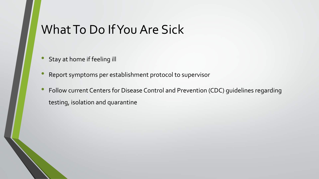# What To Do If You Are Sick

- Stay at home if feeling ill
- Report symptoms per establishment protocol to supervisor
- Follow current Centers for Disease Control and Prevention (CDC) guidelines regarding testing, isolation and quarantine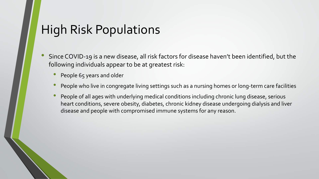### High Risk Populations

- Since COVID-19 is a new disease, all risk factors for disease haven't been identified, but the following individuals appear to be at greatest risk:
	- People 65 years and older
	- People who live in congregate living settings such as a nursing homes or long-term care facilities
	- People of all ages with underlying medical conditions including chronic lung disease, serious heart conditions, severe obesity, diabetes, chronic kidney disease undergoing dialysis and liver disease and people with compromised immune systems for any reason.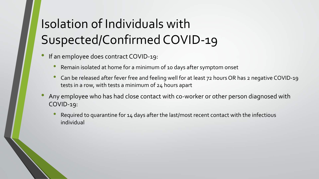# Isolation of Individuals with Suspected/Confirmed COVID-19

- If an employee does contract COVID-19:
	- Remain isolated at home for a minimum of 10 days after symptom onset
	- Can be released after fever free and feeling well for at least 72 hours OR has 2 negative COVID-19 tests in a row, with tests a minimum of 24 hours apart
- Any employee who has had close contact with co-worker or other person diagnosed with COVID-19:
	- Required to quarantine for 14 days after the last/most recent contact with the infectious individual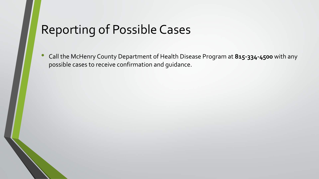### Reporting of Possible Cases

• Call the McHenry County Department of Health Disease Program at **815-334-4500** with any possible cases to receive confirmation and guidance.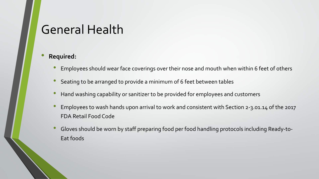### General Health

- Employees should wear face coverings over their nose and mouth when within 6 feet of others
- Seating to be arranged to provide a minimum of 6 feet between tables
- Hand washing capability or sanitizer to be provided for employees and customers
- Employees to wash hands upon arrival to work and consistent with Section 2-3.01.14 of the 2017 FDA Retail Food Code
- Gloves should be worn by staff preparing food per food handling protocols including Ready-to-Eat foods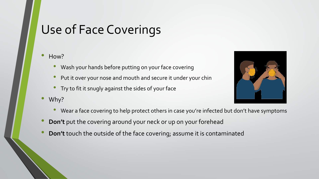# Use of Face Coverings

#### • How?

- Wash your hands before putting on your face covering
- Put it over your nose and mouth and secure it under your chin
- Try to fit it snugly against the sides of your face
- Why?



- Wear a face covering to help protect others in case you're infected but don't have symptoms
- **Don't** put the covering around your neck or up on your forehead
- **Don't** touch the outside of the face covering; assume it is contaminated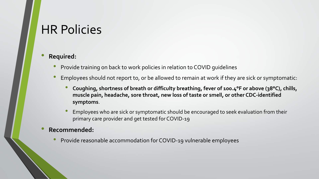### HR Policies

#### • **Required:**

- Provide training on back to work policies in relation to COVID guidelines
- Employees should not report to, or be allowed to remain at work if they are sick or symptomatic:
	- **Coughing, shortness of breath or difficulty breathing, fever of 100.4°F or above (38°C), chills, muscle pain, headache, sore throat, new loss of taste or smell, or other CDC-identified symptoms**.
	- Employees who are sick or symptomatic should be encouraged to seek evaluation from their primary care provider and get tested for COVID-19

#### • **Recommended:**

• Provide reasonable accommodation for COVID-19 vulnerable employees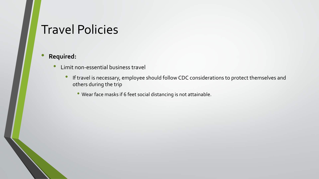# Travel Policies

- Limit non-essential business travel
	- If travel is necessary, employee should follow CDC considerations to protect themselves and others during the trip
		- Wear face masks if 6 feet social distancing is not attainable.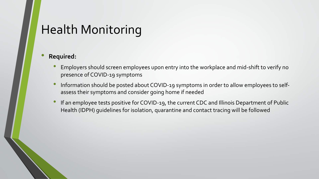# Health Monitoring

- Employers should screen employees upon entry into the workplace and mid-shift to verify no presence of COVID-19 symptoms
- Information should be posted about COVID-19 symptoms in order to allow employees to selfassess their symptoms and consider going home if needed
- If an employee tests positive for COVID-19, the current CDC and Illinois Department of Public Health (IDPH) guidelines for isolation, quarantine and contact tracing will be followed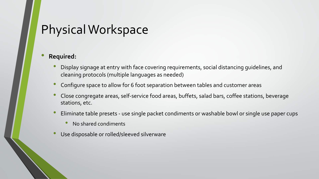- Display signage at entry with face covering requirements, social distancing guidelines, and cleaning protocols (multiple languages as needed)
- Configure space to allow for 6 foot separation between tables and customer areas
- Close congregate areas, self-service food areas, buffets, salad bars, coffee stations, beverage stations, etc.
- Eliminate table presets use single packet condiments or washable bowl or single use paper cups
	- No shared condiments
- Use disposable or rolled/sleeved silverware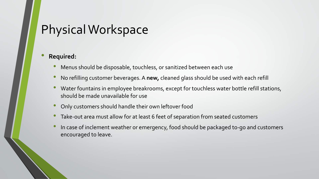- Menus should be disposable, touchless, or sanitized between each use
- No refilling customer beverages. A **new,** cleaned glass should be used with each refill
- Water fountains in employee breakrooms, except for touchless water bottle refill stations, should be made unavailable for use
- Only customers should handle their own leftover food
- Take-out area must allow for at least 6 feet of separation from seated customers
- In case of inclement weather or emergency, food should be packaged to-go and customers encouraged to leave.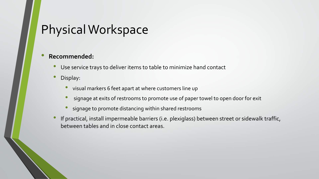- Use service trays to deliver items to table to minimize hand contact
- Display:
	- visual markers 6 feet apart at where customers line up
	- signage at exits of restrooms to promote use of paper towel to open door for exit
	- signage to promote distancing within shared restrooms
- If practical, install impermeable barriers (i.e. plexiglass) between street or sidewalk traffic, between tables and in close contact areas.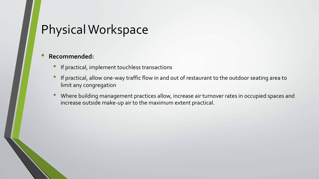- If practical, implement touchless transactions
- If practical, allow one-way traffic flow in and out of restaurant to the outdoor seating area to limit any congregation
- Where building management practices allow, increase air turnover rates in occupied spaces and increase outside make-up air to the maximum extent practical.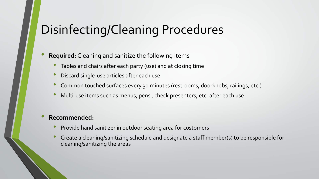# Disinfecting/Cleaning Procedures

#### • **Required**: Cleaning and sanitize the following items

- Tables and chairs after each party (use) and at closing time
- Discard single-use articles after each use
- Common touched surfaces every 30 minutes (restrooms, doorknobs, railings, etc.)
- Multi-use items such as menus, pens , check presenters, etc. after each use

- Provide hand sanitizer in outdoor seating area for customers
- Create a cleaning/sanitizing schedule and designate a staff member(s) to be responsible for cleaning/sanitizing the areas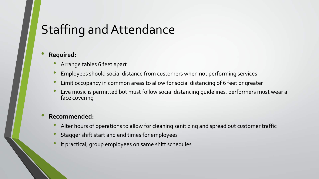# Staffing and Attendance

#### • **Required:**

- Arrange tables 6 feet apart
- Employees should social distance from customers when not performing services
- Limit occupancy in common areas to allow for social distancing of 6 feet or greater
- Live music is permitted but must follow social distancing guidelines, performers must wear a face covering

- Alter hours of operations to allow for cleaning sanitizing and spread out customer traffic
- Stagger shift start and end times for employees
- If practical, group employees on same shift schedules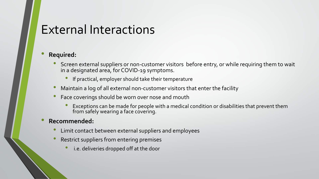### External Interactions

#### • **Required:**

- Screen external suppliers or non-customer visitors before entry, or while requiring them to wait in a designated area, for COVID-19 symptoms.
	- If practical, employer should take their temperature
- Maintain a log of all external non-customer visitors that enter the facility
- Face coverings should be worn over nose and mouth
	- Exceptions can be made for people with a medical condition or disabilities that prevent them from safely wearing a face covering.

- Limit contact between external suppliers and employees
- Restrict suppliers from entering premises
	- i.e. deliveries dropped off at the door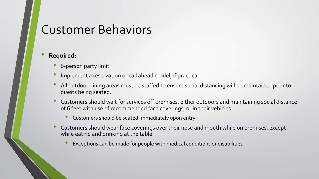### Customer Behaviors

- 6-person party limit
- Implement a reservation or call ahead model, if practical
- All outdoor dining areas must be staffed to ensure social distancing will be maintained prior to guests being seated.
- Customers should wait for services off premises, either outdoors and maintaining social distance of 6 feet with use of recommended face coverings, or in their vehicles
	- Customers should be seated immediately upon entry.
- Customers should wear face coverings over their nose and mouth while on premises, except while eating and drinking at the table
	- Exceptions can be made for people with medical conditions or disabilities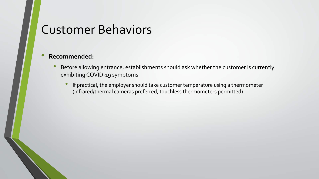### Customer Behaviors

- Before allowing entrance, establishments should ask whether the customer is currently exhibiting COVID-19 symptoms
	- If practical, the employer should take customer temperature using a thermometer (infrared/thermal cameras preferred, touchless thermometers permitted)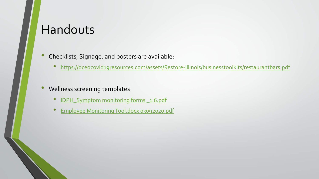### Handouts

- Checklists, Signage, and posters are available:
	- <https://dceocovid19resources.com/assets/Restore-Illinois/businesstoolkits/restaurantbars.pdf>
- Wellness screening templates
	- IDPH\_Symptom monitoring forms 1.6.pdf
	- Employee Monitoring Tool.docx 03092020.pdf